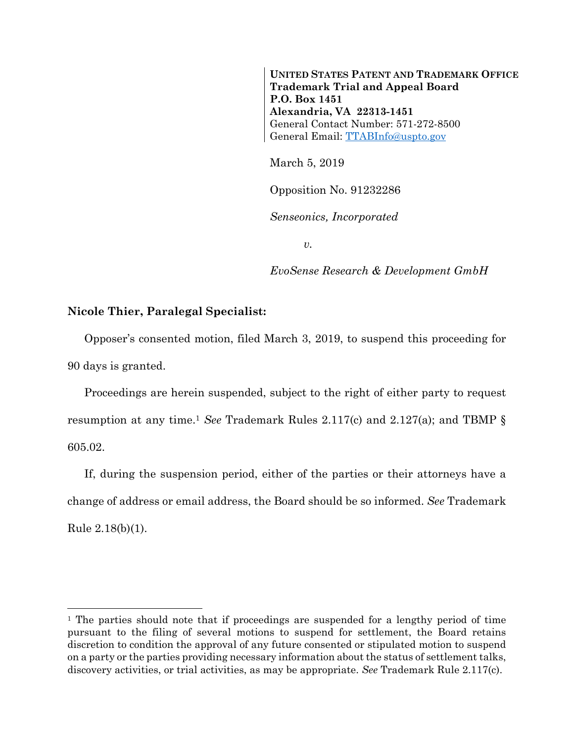**UNITED STATES PATENT AND TRADEMARK OFFICE Trademark Trial and Appeal Board P.O. Box 1451 Alexandria, VA 22313-1451**  General Contact Number: 571-272-8500 General Email: TTABInfo@uspto.gov

March 5, 2019

Opposition No. 91232286

*Senseonics, Incorporated* 

*v.* 

*EvoSense Research & Development GmbH* 

## **Nicole Thier, Paralegal Specialist:**

 $\overline{a}$ 

Opposer's consented motion, filed March 3, 2019, to suspend this proceeding for 90 days is granted.

Proceedings are herein suspended, subject to the right of either party to request resumption at any time.1 *See* Trademark Rules 2.117(c) and 2.127(a); and TBMP § 605.02.

If, during the suspension period, either of the parties or their attorneys have a change of address or email address, the Board should be so informed. *See* Trademark Rule 2.18(b)(1).

<sup>&</sup>lt;sup>1</sup> The parties should note that if proceedings are suspended for a lengthy period of time pursuant to the filing of several motions to suspend for settlement, the Board retains discretion to condition the approval of any future consented or stipulated motion to suspend on a party or the parties providing necessary information about the status of settlement talks, discovery activities, or trial activities, as may be appropriate. *See* Trademark Rule 2.117(c).